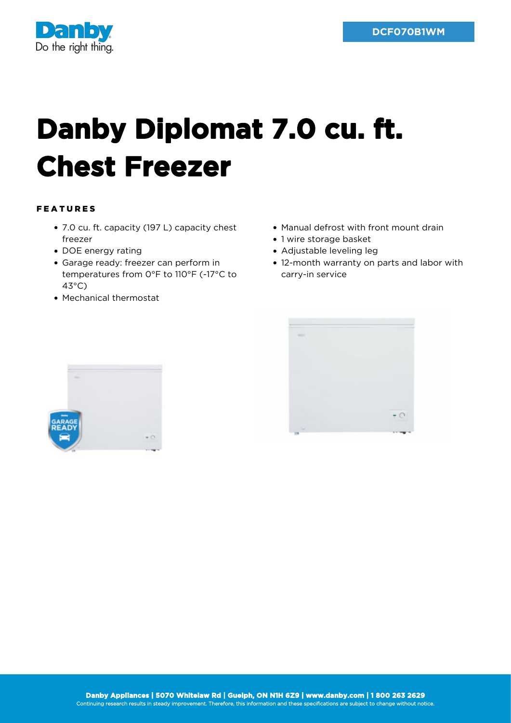

## **Danby Diplomat 7.0 cu. ft. Chest Freezer**

## FEATURES

- 7.0 cu. ft. capacity (197 L) capacity chest freezer
- DOE energy rating
- Garage ready: freezer can perform in temperatures from 0°F to 110°F (-17°C to 43°C)
- Mechanical thermostat
- Manual defrost with front mount drain
- 1 wire storage basket
- Adjustable leveling leg
- 12-month warranty on parts and labor with carry-in service